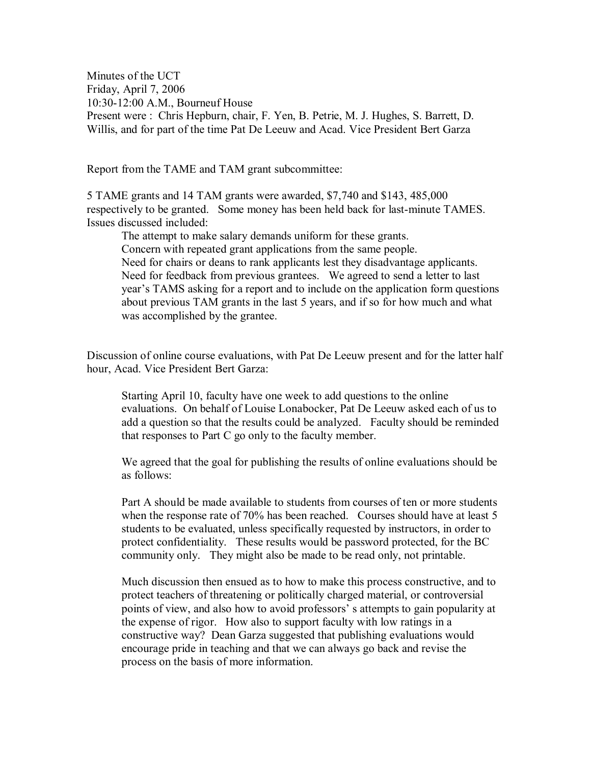Minutes of the UCT Friday, April 7, 2006 10:30-12:00 A.M., Bourneuf House Present were : Chris Hepburn, chair, F. Yen, B. Petrie, M. J. Hughes, S. Barrett, D. Willis, and for part of the time Pat De Leeuw and Acad. Vice President Bert Garza

Report from the TAME and TAM grant subcommittee:

5 TAME grants and 14 TAM grants were awarded, \$7,740 and \$143, 485,000 respectively to be granted. Some money has been held back for last-minute TAMES. Issues discussed included:

The attempt to make salary demands uniform for these grants. Concern with repeated grant applications from the same people. Need for chairs or deans to rank applicants lest they disadvantage applicants. Need for feedback from previous grantees. We agreed to send a letter to last year's TAMS asking for a report and to include on the application form questions about previous TAM grants in the last 5 years, and if so for how much and what was accomplished by the grantee.

Discussion of online course evaluations, with Pat De Leeuw present and for the latter half hour, Acad. Vice President Bert Garza:

Starting April 10, faculty have one week to add questions to the online evaluations. On behalf of Louise Lonabocker, Pat De Leeuw asked each of us to add a question so that the results could be analyzed. Faculty should be reminded that responses to Part C go only to the faculty member.

We agreed that the goal for publishing the results of online evaluations should be as follows:

Part A should be made available to students from courses of ten or more students when the response rate of 70% has been reached. Courses should have at least 5 students to be evaluated, unless specifically requested by instructors, in order to protect confidentiality. These results would be password protected, for the BC community only. They might also be made to be read only, not printable.

Much discussion then ensued as to how to make this process constructive, and to protect teachers of threatening or politically charged material, or controversial points of view, and also how to avoid professors' s attempts to gain popularity at the expense of rigor. How also to support faculty with low ratings in a constructive way? Dean Garza suggested that publishing evaluations would encourage pride in teaching and that we can always go back and revise the process on the basis of more information.